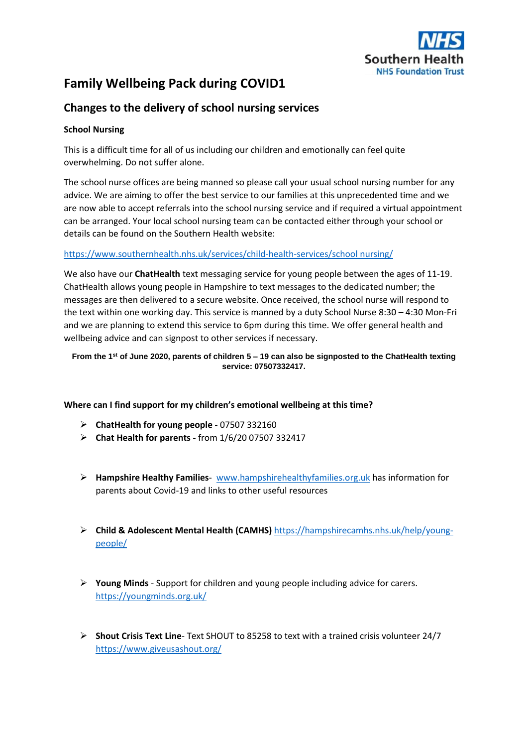

# **Family Wellbeing Pack during COVID1**

# **Changes to the delivery of school nursing services**

# **School Nursing**

This is a difficult time for all of us including our children and emotionally can feel quite overwhelming. Do not suffer alone.

The school nurse offices are being manned so please call your usual school nursing number for any advice. We are aiming to offer the best service to our families at this unprecedented time and we are now able to accept referrals into the school nursing service and if required a virtual appointment can be arranged. Your local school nursing team can be contacted either through your school or details can be found on the Southern Health website:

# [https://www.southernhealth.nhs.uk/services/child-health-services/school nursing/](https://www.southernhealth.nhs.uk/services/child-health-services/school%20nursing/)

We also have our **ChatHealth** text messaging service for young people between the ages of 11-19. ChatHealth allows young people in Hampshire to text messages to the dedicated number; the messages are then delivered to a secure website. Once received, the school nurse will respond to the text within one working day. This service is manned by a duty School Nurse 8:30 – 4:30 Mon-Fri and we are planning to extend this service to 6pm during this time. We offer general health and wellbeing advice and can signpost to other services if necessary.

**From the 1st of June 2020, parents of children 5 – 19 can also be signposted to the ChatHealth texting service: 07507332417.**

# **Where can I find support for my children's emotional wellbeing at this time?**

- **ChatHealth for young people -** 07507 332160
- **Chat Health for parents -** from 1/6/20 07507 332417
- **Hampshire Healthy Families** [www.hampshirehealthyfamilies.org.uk](http://www.hampshirehealthyfamilies.org.uk/) has information for parents about Covid-19 and links to other useful resources
- **Child & Adolescent Mental Health (CAMHS)** [https://hampshirecamhs.nhs.uk/help/young](https://hampshirecamhs.nhs.uk/help/young-people/)[people/](https://hampshirecamhs.nhs.uk/help/young-people/)
- **Young Minds** Support for children and young people including advice for carers. <https://youngminds.org.uk/>
- **Shout Crisis Text Line** Text SHOUT to 85258 to text with a trained crisis volunteer 24/7 <https://www.giveusashout.org/>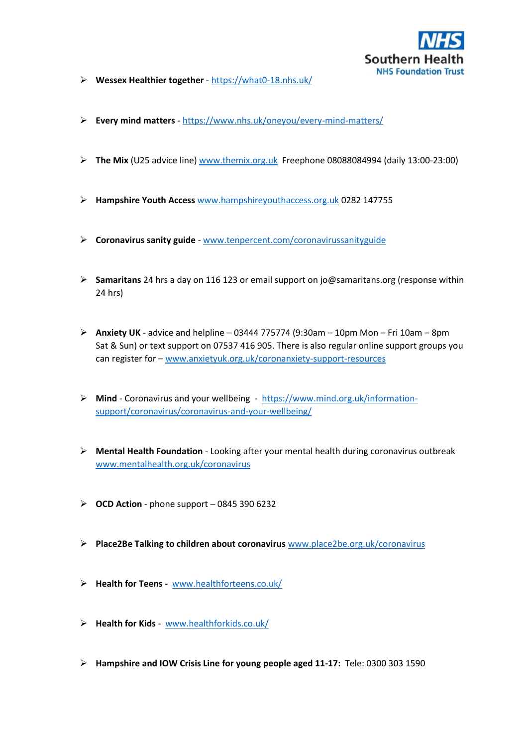

- **Wessex Healthier together** <https://what0-18.nhs.uk/>
- **Every mind matters** <https://www.nhs.uk/oneyou/every-mind-matters/>
- **The Mix** (U25 advice line[\) www.themix.org.uk](http://www.themix.org.uk/) Freephone 08088084994 (daily 13:00-23:00)
- **Hampshire Youth Access** [www.hampshireyouthaccess.org.uk](http://www.hampshireyouthaccess.org.uk/) 0282 147755
- **Coronavirus sanity guide** [www.tenpercent.com/coronavirussanityguide](http://www.tenpercent.com/coronavirussanityguide)
- **Samaritans** 24 hrs a day on 116 123 or email support on jo@samaritans.org (response within 24 hrs)
- **Anxiety UK** advice and helpline 03444 775774 (9:30am 10pm Mon Fri 10am 8pm Sat & Sun) or text support on 07537 416 905. There is also regular online support groups you can register for – [www.anxietyuk.org.uk/coronanxiety-support-resources](http://www.anxietyuk.org.uk/coronanxiety-support-resources)
- **Mind** Coronavirus and your wellbeing [https://www.mind.org.uk/information](https://www.mind.org.uk/information-support/coronavirus/coronavirus-and-your-wellbeing/)[support/coronavirus/coronavirus-and-your-wellbeing/](https://www.mind.org.uk/information-support/coronavirus/coronavirus-and-your-wellbeing/)
- **Mental Health Foundation** Looking after your mental health during coronavirus outbreak [www.mentalhealth.org.uk/coronavirus](http://www.mentalhealth.org.uk/coronavirus)
- $\geq$  **OCD Action** phone support 0845 390 6232
- **Place2Be Talking to children about coronavirus** [www.place2be.org.uk/coronavirus](http://www.place2be.org.uk/coronavirus)
- **Health for Teens -** [www.healthforteens.co.uk/](http://www.healthforteens.co.uk/)
- **Health for Kids** [www.healthforkids.co.uk/](http://www.healthforkids.co.uk/)
- **Hampshire and IOW Crisis Line for young people aged 11-17:** Tele: 0300 303 1590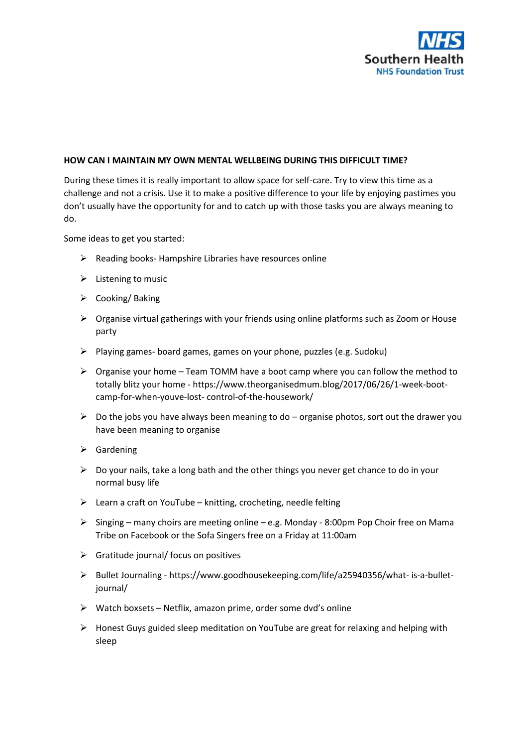

#### **HOW CAN I MAINTAIN MY OWN MENTAL WELLBEING DURING THIS DIFFICULT TIME?**

During these times it is really important to allow space for self-care. Try to view this time as a challenge and not a crisis. Use it to make a positive difference to your life by enjoying pastimes you don't usually have the opportunity for and to catch up with those tasks you are always meaning to do.

Some ideas to get you started:

- $\triangleright$  Reading books- Hampshire Libraries have resources online
- $\triangleright$  Listening to music
- $\triangleright$  Cooking/ Baking
- Organise virtual gatherings with your friends using online platforms such as Zoom or House party
- $\triangleright$  Playing games- board games, games on your phone, puzzles (e.g. Sudoku)
- $\triangleright$  Organise your home Team TOMM have a boot camp where you can follow the method to totally blitz your home - https://www.theorganisedmum.blog/2017/06/26/1-week-bootcamp-for-when-youve-lost- control-of-the-housework/
- $\triangleright$  Do the jobs you have always been meaning to do organise photos, sort out the drawer you have been meaning to organise
- $\triangleright$  Gardening
- $\triangleright$  Do your nails, take a long bath and the other things you never get chance to do in your normal busy life
- $\triangleright$  Learn a craft on YouTube knitting, crocheting, needle felting
- $\triangleright$  Singing many choirs are meeting online e.g. Monday 8:00pm Pop Choir free on Mama Tribe on Facebook or the Sofa Singers free on a Friday at 11:00am
- $\triangleright$  Gratitude journal/ focus on positives
- Bullet Journaling https://www.goodhousekeeping.com/life/a25940356/what- is-a-bulletjournal/
- $\triangleright$  Watch boxsets Netflix, amazon prime, order some dvd's online
- $\triangleright$  Honest Guys guided sleep meditation on YouTube are great for relaxing and helping with sleep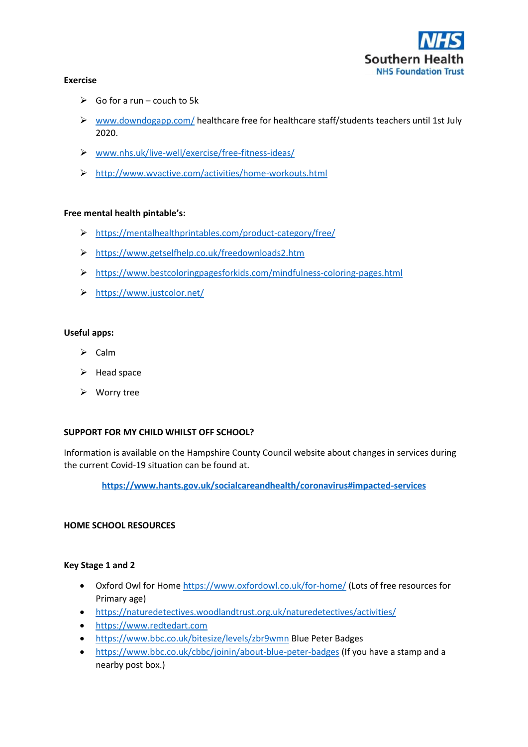

#### **Exercise**

- $\triangleright$  Go for a run couch to 5k
- $\triangleright$  [www.downdogapp.com/](http://www.downdogapp.com/) healthcare free for healthcare staff/students teachers until 1st July 2020.
- [www.nhs.uk/live-well/exercise/free-fitness-ideas/](http://www.nhs.uk/live-well/exercise/free-fitness-ideas/)
- <http://www.wvactive.com/activities/home-workouts.html>

#### **Free mental health pintable's:**

- <https://mentalhealthprintables.com/product-category/free/>
- <https://www.getselfhelp.co.uk/freedownloads2.htm>
- <https://www.bestcoloringpagesforkids.com/mindfulness-coloring-pages.html>
- <https://www.justcolor.net/>

#### **Useful apps:**

- $\triangleright$  Calm
- $\blacktriangleright$  Head space
- Worry tree

#### **SUPPORT FOR MY CHILD WHILST OFF SCHOOL?**

Information is available on the Hampshire County Council website about changes in services during the current Covid-19 situation can be found at.

**<https://www.hants.gov.uk/socialcareandhealth/coronavirus#impacted-services>**

#### **HOME SCHOOL RESOURCES**

#### **Key Stage 1 and 2**

- Oxford Owl for Home<https://www.oxfordowl.co.uk/for-home/> (Lots of free resources for Primary age)
- <https://naturedetectives.woodlandtrust.org.uk/naturedetectives/activities/>
- [https://www.redtedart.com](https://www.redtedart.com/)
- <https://www.bbc.co.uk/bitesize/levels/zbr9wmn> Blue Peter Badges
- <https://www.bbc.co.uk/cbbc/joinin/about-blue-peter-badges> (If you have a stamp and a nearby post box.)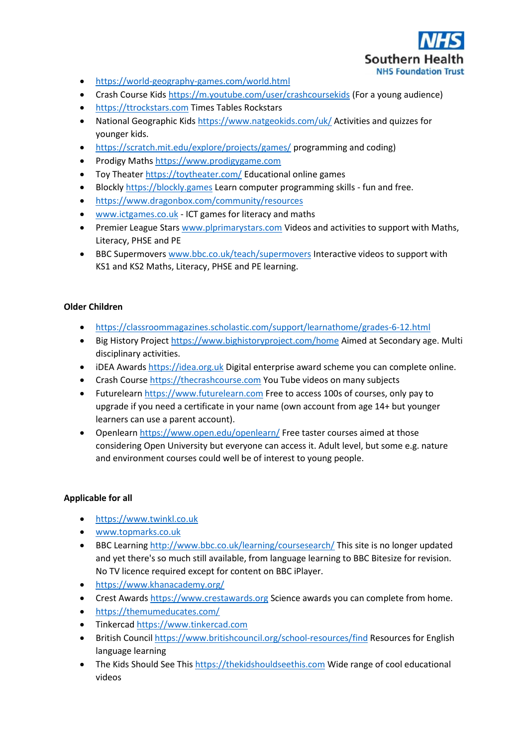

- <https://world-geography-games.com/world.html>
- Crash Course Kids<https://m.youtube.com/user/crashcoursekids> (For a young audience)
- [https://ttrockstars.com](https://ttrockstars.com/) Times Tables Rockstars
- National Geographic Kids <https://www.natgeokids.com/uk/> Activities and quizzes for younger kids.
- <https://scratch.mit.edu/explore/projects/games/> programming and coding)
- Prodigy Maths [https://www.prodigygame.com](https://www.prodigygame.com/)
- Toy Theater<https://toytheater.com/> Educational online games
- **Blockly [https://blockly.games](https://blockly.games/) Learn computer programming skills fun and free.**
- <https://www.dragonbox.com/community/resources>
- [www.ictgames.co.uk](http://www.ictgames.co.uk/) ICT games for literacy and maths
- Premier League Stars [www.plprimarystars.com](http://www.plprimarystars.com/) Videos and activities to support with Maths, Literacy, PHSE and PE
- **•** BBC Supermovers [www.bbc.co.uk/teach/supermovers](http://www.bbc.co.uk/teach/supermovers) Interactive videos to support with KS1 and KS2 Maths, Literacy, PHSE and PE learning.

### **Older Children**

- <https://classroommagazines.scholastic.com/support/learnathome/grades-6-12.html>
- Big History Project<https://www.bighistoryproject.com/home> Aimed at Secondary age. Multi disciplinary activities.
- iDEA Award[s https://idea.org.uk](https://idea.org.uk/) Digital enterprise award scheme you can complete online.
- Crash Course [https://thecrashcourse.com](https://thecrashcourse.com/) You Tube videos on many subjects
- Futurelearn [https://www.futurelearn.com](https://www.futurelearn.com/) Free to access 100s of courses, only pay to upgrade if you need a certificate in your name (own account from age 14+ but younger learners can use a parent account).
- Openlear[n https://www.open.edu/openlearn/](https://www.open.edu/openlearn/) Free taster courses aimed at those considering Open University but everyone can access it. Adult level, but some e.g. nature and environment courses could well be of interest to young people.

# **Applicable for all**

- [https://www.twinkl.co.uk](https://www.twinkl.co.uk/)
- [www.topmarks.co.uk](http://www.topmarks.co.uk/)
- BBC Learning<http://www.bbc.co.uk/learning/coursesearch/> This site is no longer updated and yet there's so much still available, from language learning to BBC Bitesize for revision. No TV licence required except for content on BBC iPlayer.
- <https://www.khanacademy.org/>
- Crest Award[s https://www.crestawards.org](https://www.crestawards.org/) Science awards you can complete from home.
- <https://themumeducates.com/>
- Tinkercad [https://www.tinkercad.com](https://www.tinkercad.com/)
- British Counci[l https://www.britishcouncil.org/school-resources/find](https://www.britishcouncil.org/school-resources/find) Resources for English language learning
- The Kids Should See This [https://thekidshouldseethis.com](https://thekidshouldseethis.com/) Wide range of cool educational videos